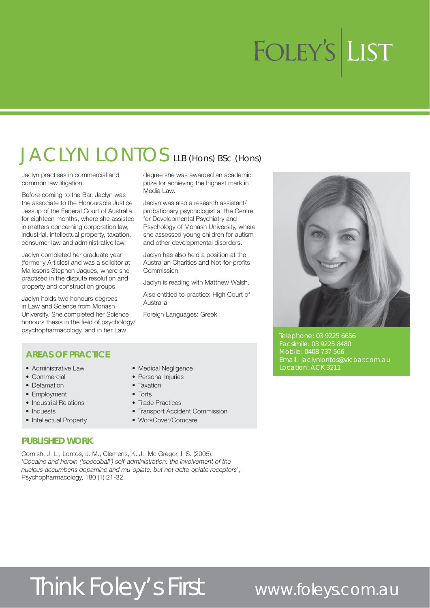## JACLYN LONTOS LLB (Hons) BSc (Hons)

Jaclyn practises in commercial and common law litigation.

Before coming to the Bar, Jaclyn was the associate to the Honourable Justice Jessup of the Federal Court of Australia for eighteen months, where she assisted in matters concerning corporation law, industrial, intellectual property, taxation, consumer law and administrative law.

Jaclyn completed her graduate year (formerly Articles) and was a solicitor at Mallesons Stephen Jaques, where she practised in the dispute resolution and property and construction groups.

Jaclyn holds two honours degrees in Law and Science from Monash University. She completed her Science honours thesis in the field of psychology/ psychopharmacology, and in her Law

#### degree she was awarded an academic prize for achieving the highest mark in Media Law.

Jaclyn was also a research assistant/ probationary psychologist at the Centre for Developmental Psychiatry and Psychology of Monash University, where she assessed young children for autism and other developmental disorders.

Jaclyn has also held a position at the Australian Charities and Not-for-profits Commission.

Jaclyn is reading with Matthew Walsh.

Also entitled to practice: High Court of Australia

Foreign Languages: Greek

• Transport Accident Commission

• Medical Negligence • Personal Injuries  $\bullet$  Taxation  $\bullet$  Torts

• Trade Practices

• WorkCover/Comcare



Telephone: 03 9225 6656 Facsimile: 03 9225 8480 Mobile: 0408 737 566 Location: ACK 3211

#### **AREAS OF PRACTICE**

- Administrative Law
- $\bullet$  Commercial
- Defamation
- Employment
- Industrial Relations
- Inquests
- Intellectual Property

#### **PUBLISHED WORK**

Cornish, J. L., Lontos, J. M., Clemens, K. J., Mc Gregor, I. S. (2005). 'Cocaine and heroin ('speedball') self-administration: the involvement of the nucleus accumbens dopamine and mu-opiate, but not delta-opiate receptors', Psychopharmacology, 180 (1) 21-32.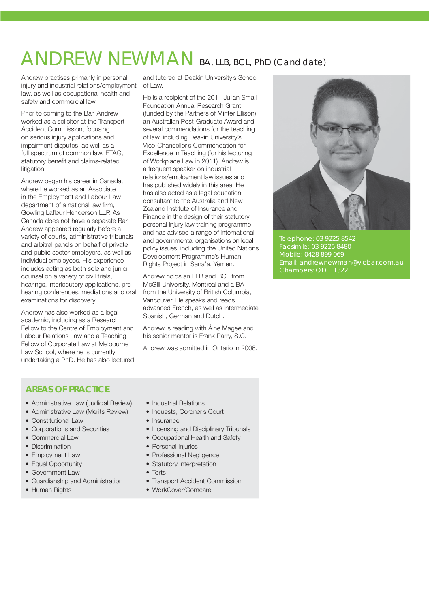### ANDREW NEWMAN BA, LLB, BCL, PhD (Candidate)

Andrew practises primarily in personal injury and industrial relations/employment law, as well as occupational health and safety and commercial law.

Prior to coming to the Bar, Andrew worked as a solicitor at the Transport Accident Commission, focusing on serious injury applications and impairment disputes, as well as a full spectrum of common law, ETAG, statutory benefit and claims-related litigation.

Andrew began his career in Canada, where he worked as an Associate in the Employment and Labour Law department of a national law firm, Gowling Lafleur Henderson LLP. As Canada does not have a separate Bar, Andrew appeared regularly before a variety of courts, administrative tribunals and arbitral panels on behalf of private and public sector employers, as well as individual employees. His experience includes acting as both sole and junior counsel on a variety of civil trials, hearings, interlocutory applications, prehearing conferences, mediations and oral examinations for discovery.

Andrew has also worked as a legal academic, including as a Research Fellow to the Centre of Employment and Labour Relations Law and a Teaching Fellow of Corporate Law at Melbourne Law School, where he is currently undertaking a PhD. He has also lectured

and tutored at Deakin University's School of Law.

He is a recipient of the 2011 Julian Small Foundation Annual Research Grant (funded by the Partners of Minter Ellison), an Australian Post-Graduate Award and several commendations for the teaching of law, including Deakin University's Vice-Chancellor's Commendation for Excellence in Teaching (for his lecturing of Workplace Law in 2011). Andrew is a frequent speaker on industrial relations/employment law issues and has published widely in this area. He has also acted as a legal education consultant to the Australia and New Zealand Institute of Insurance and Finance in the design of their statutory personal injury law training programme and has advised a range of international and governmental organisations on legal policy issues, including the United Nations Development Programme's Human Rights Project in Sana'a, Yemen.

Andrew holds an LLB and BCL from McGill University, Montreal and a BA from the University of British Columbia, Vancouver. He speaks and reads advanced French, as well as intermediate Spanish, German and Dutch.

Andrew is reading with Áine Magee and his senior mentor is Frank Parry, S.C.

Andrew was admitted in Ontario in 2006.



Telephone: 03 9225 8542 Facsimile: 03 9225 8480 Mobile: 0428 899 069 Chambers: ODE 1322

### **AREAS OF PRACTICE**

- Administrative Law (Judicial Review)
- Administrative Law (Merits Review)
- Constitutional Law
- Corporations and Securities
- Commercial Law
- Discrimination
- Employment Law
- Equal Opportunity
- Government Law
- Guardianship and Administration • Human Rights
- Industrial Relations
- Inquests, Coroner's Court
- $\bullet$  Insurance
- Licensing and Disciplinary Tribunals
- Occupational Health and Safety
- Personal Injuries
- Professional Negligence
- Statutory Interpretation
- $\bullet$  Torte
- Transport Accident Commission
- WorkCover/Comcare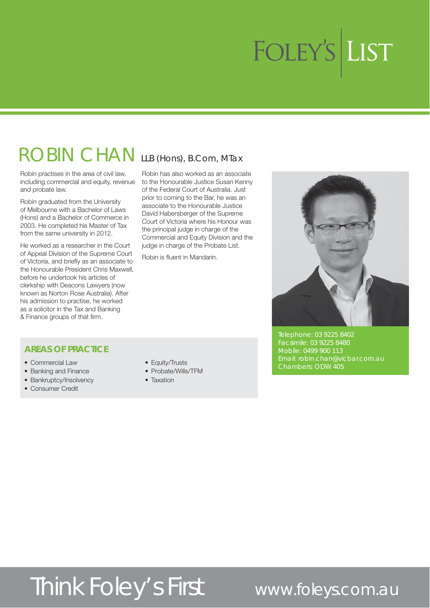### ROBIN CHAN LLB (Hons), B.Com, MTax

Robin practises in the area of civil law, including commercial and equity, revenue and probate law.

Robin graduated from the University of Melbourne with a Bachelor of Laws (Hons) and a Bachelor of Commerce in 2003. He completed his Master of Tax from the same university in 2012.

He worked as a researcher in the Court of Appeal Division of the Supreme Court of Victoria, and briefly as an associate to the Honourable President Chris Maxwell, before he undertook his articles of clerkship with Deacons Lawyers (now known as Norton Rose Australia). After his admission to practise, he worked as a solicitor in the Tax and Banking & Finance groups of that firm.

Robin has also worked as an associate to the Honourable Justice Susan Kenny of the Federal Court of Australia. Just prior to coming to the Bar, he was an associate to the Honourable Justice David Habersberger of the Supreme Court of Victoria where his Honour was the principal judge in charge of the Commercial and Equity Division and the judge in charge of the Probate List.

Robin is fluent in Mandarin.



Telephone: 03 9225 8402 Facsimile: 03 9225 8480 Mobile: 0499 900 113 Email: robin.chan@vicbar.com.au Chambers: ODW 405

#### **AREAS OF PRACTICE**

- Commercial Law
- Banking and Finance
- Bankruptcy/Insolvency
- Consumer Credit
- Equity/Trusts
- Probate/Wills/TFM
- $\bullet$  Taxation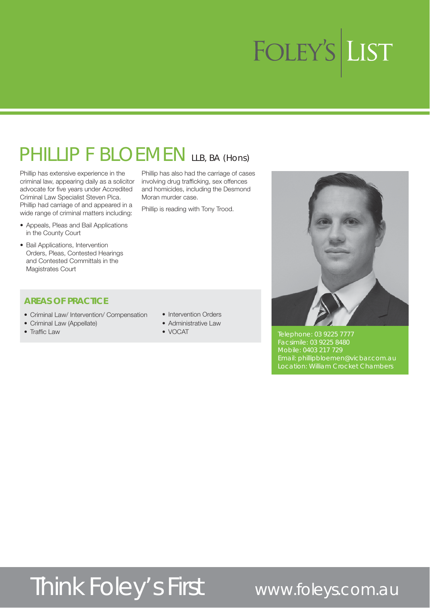## PHILLIP F BLOEMEN LLB, BA (HONS)

Phillip has extensive experience in the criminal law, appearing daily as a solicitor advocate for five years under Accredited Criminal Law Specialist Steven Pica. Phillip had carriage of and appeared in a wide range of criminal matters including:

- Appeals, Pleas and Bail Applications in the County Court
- Bail Applications, Intervention Orders, Pleas, Contested Hearings and Contested Committals in the Magistrates Court

#### **AREAS OF PRACTICE**

- Criminal Law/ Intervention/ Compensation
- Criminal Law (Appellate)
- $\bullet$  Traffic Law

Phillip has also had the carriage of cases involving drug trafficking, sex offences and homicides, including the Desmond Moran murder case.

Phillip is reading with Tony Trood.

- Intervention Orders
- Administrative Law
- $\bullet$  VOCAT



Telephone: 03 9225 7777 Facsimile: 03 9225 8480 Mobile: 0403 217 729 Email: phillipbloemen@vicbar.com.au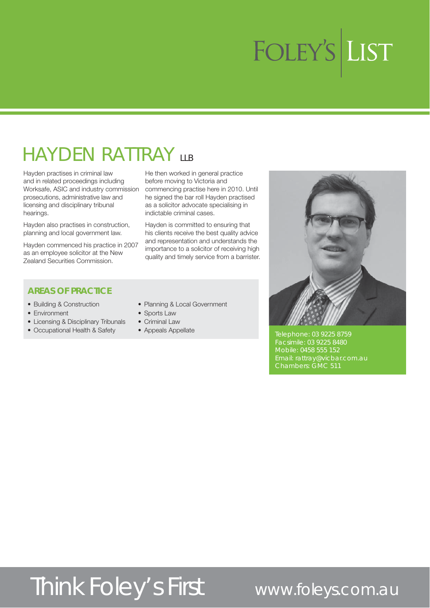## **HAYDEN RATTRAY LLB**

Hayden practises in criminal law and in related proceedings including Worksafe, ASIC and industry commission prosecutions, administrative law and licensing and disciplinary tribunal hearings.

Hayden also practises in construction, planning and local government law.

Hayden commenced his practice in 2007 as an employee solicitor at the New Zealand Securities Commission.

He then worked in general practice before moving to Victoria and commencing practise here in 2010. Until he signed the bar roll Hayden practised as a solicitor advocate specialising in indictable criminal cases.

Hayden is committed to ensuring that his clients receive the best quality advice and representation and understands the importance to a solicitor of receiving high quality and timely service from a barrister.



#### **AREAS OF PRACTICE**

- Building & Construction
- Environment
- Licensing & Disciplinary Tribunals
- Occupational Health & Safety
- Planning & Local Government
- Sports Law
- $\bullet$  Criminal Law
- Appeals Appellate

Telephone: 03 9225 8759 Mobile: 0458 555 152